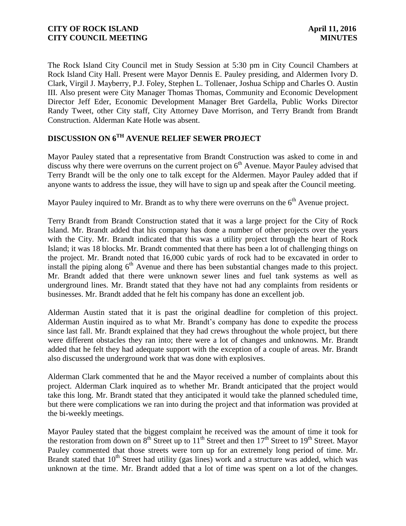The Rock Island City Council met in Study Session at 5:30 pm in City Council Chambers at Rock Island City Hall. Present were Mayor Dennis E. Pauley presiding, and Aldermen Ivory D. Clark, Virgil J. Mayberry, P.J. Foley, Stephen L. Tollenaer, Joshua Schipp and Charles O. Austin III. Also present were City Manager Thomas Thomas, Community and Economic Development Director Jeff Eder, Economic Development Manager Bret Gardella, Public Works Director Randy Tweet, other City staff, City Attorney Dave Morrison, and Terry Brandt from Brandt Construction. Alderman Kate Hotle was absent.

## **DISCUSSION ON 6 TH AVENUE RELIEF SEWER PROJECT**

Mayor Pauley stated that a representative from Brandt Construction was asked to come in and discuss why there were overruns on the current project on  $6<sup>th</sup>$  Avenue. Mayor Pauley advised that Terry Brandt will be the only one to talk except for the Aldermen. Mayor Pauley added that if anyone wants to address the issue, they will have to sign up and speak after the Council meeting.

Mayor Pauley inquired to Mr. Brandt as to why there were overruns on the 6<sup>th</sup> Avenue project.

Terry Brandt from Brandt Construction stated that it was a large project for the City of Rock Island. Mr. Brandt added that his company has done a number of other projects over the years with the City. Mr. Brandt indicated that this was a utility project through the heart of Rock Island; it was 18 blocks. Mr. Brandt commented that there has been a lot of challenging things on the project. Mr. Brandt noted that 16,000 cubic yards of rock had to be excavated in order to install the piping along  $6<sup>th</sup>$  Avenue and there has been substantial changes made to this project. Mr. Brandt added that there were unknown sewer lines and fuel tank systems as well as underground lines. Mr. Brandt stated that they have not had any complaints from residents or businesses. Mr. Brandt added that he felt his company has done an excellent job.

Alderman Austin stated that it is past the original deadline for completion of this project. Alderman Austin inquired as to what Mr. Brandt's company has done to expedite the process since last fall. Mr. Brandt explained that they had crews throughout the whole project, but there were different obstacles they ran into; there were a lot of changes and unknowns. Mr. Brandt added that he felt they had adequate support with the exception of a couple of areas. Mr. Brandt also discussed the underground work that was done with explosives.

Alderman Clark commented that he and the Mayor received a number of complaints about this project. Alderman Clark inquired as to whether Mr. Brandt anticipated that the project would take this long. Mr. Brandt stated that they anticipated it would take the planned scheduled time, but there were complications we ran into during the project and that information was provided at the bi-weekly meetings.

Mayor Pauley stated that the biggest complaint he received was the amount of time it took for the restoration from down on  $8<sup>th</sup>$  Street up to  $11<sup>th</sup>$  Street and then  $17<sup>th</sup>$  Street to  $19<sup>th</sup>$  Street. Mayor Pauley commented that those streets were torn up for an extremely long period of time. Mr. Brandt stated that  $10<sup>th</sup>$  Street had utility (gas lines) work and a structure was added, which was unknown at the time. Mr. Brandt added that a lot of time was spent on a lot of the changes.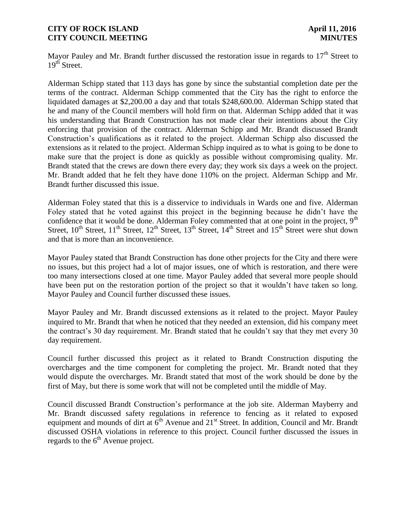Mayor Pauley and Mr. Brandt further discussed the restoration issue in regards to  $17<sup>th</sup>$  Street to  $19^{th}$  Street.

Alderman Schipp stated that 113 days has gone by since the substantial completion date per the terms of the contract. Alderman Schipp commented that the City has the right to enforce the liquidated damages at \$2,200.00 a day and that totals \$248,600.00. Alderman Schipp stated that he and many of the Council members will hold firm on that. Alderman Schipp added that it was his understanding that Brandt Construction has not made clear their intentions about the City enforcing that provision of the contract. Alderman Schipp and Mr. Brandt discussed Brandt Construction's qualifications as it related to the project. Alderman Schipp also discussed the extensions as it related to the project. Alderman Schipp inquired as to what is going to be done to make sure that the project is done as quickly as possible without compromising quality. Mr. Brandt stated that the crews are down there every day; they work six days a week on the project. Mr. Brandt added that he felt they have done 110% on the project. Alderman Schipp and Mr. Brandt further discussed this issue.

Alderman Foley stated that this is a disservice to individuals in Wards one and five. Alderman Foley stated that he voted against this project in the beginning because he didn't have the confidence that it would be done. Alderman Foley commented that at one point in the project, 9<sup>th</sup> Street,  $10^{th}$  Street,  $11^{th}$  Street,  $12^{th}$  Street,  $13^{th}$  Street,  $14^{th}$  Street and  $15^{th}$  Street were shut down and that is more than an inconvenience.

Mayor Pauley stated that Brandt Construction has done other projects for the City and there were no issues, but this project had a lot of major issues, one of which is restoration, and there were too many intersections closed at one time. Mayor Pauley added that several more people should have been put on the restoration portion of the project so that it wouldn't have taken so long. Mayor Pauley and Council further discussed these issues.

Mayor Pauley and Mr. Brandt discussed extensions as it related to the project. Mayor Pauley inquired to Mr. Brandt that when he noticed that they needed an extension, did his company meet the contract's 30 day requirement. Mr. Brandt stated that he couldn't say that they met every 30 day requirement.

Council further discussed this project as it related to Brandt Construction disputing the overcharges and the time component for completing the project. Mr. Brandt noted that they would dispute the overcharges. Mr. Brandt stated that most of the work should be done by the first of May, but there is some work that will not be completed until the middle of May.

Council discussed Brandt Construction's performance at the job site. Alderman Mayberry and Mr. Brandt discussed safety regulations in reference to fencing as it related to exposed equipment and mounds of dirt at 6<sup>th</sup> Avenue and 21<sup>st</sup> Street. In addition, Council and Mr. Brandt discussed OSHA violations in reference to this project. Council further discussed the issues in regards to the  $6<sup>th</sup>$  Avenue project.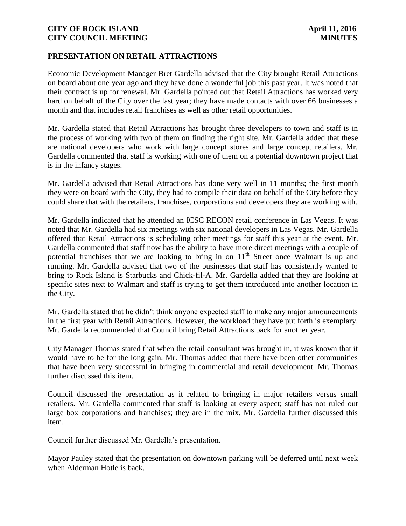## **PRESENTATION ON RETAIL ATTRACTIONS**

Economic Development Manager Bret Gardella advised that the City brought Retail Attractions on board about one year ago and they have done a wonderful job this past year. It was noted that their contract is up for renewal. Mr. Gardella pointed out that Retail Attractions has worked very hard on behalf of the City over the last year; they have made contacts with over 66 businesses a month and that includes retail franchises as well as other retail opportunities.

Mr. Gardella stated that Retail Attractions has brought three developers to town and staff is in the process of working with two of them on finding the right site. Mr. Gardella added that these are national developers who work with large concept stores and large concept retailers. Mr. Gardella commented that staff is working with one of them on a potential downtown project that is in the infancy stages.

Mr. Gardella advised that Retail Attractions has done very well in 11 months; the first month they were on board with the City, they had to compile their data on behalf of the City before they could share that with the retailers, franchises, corporations and developers they are working with.

Mr. Gardella indicated that he attended an ICSC RECON retail conference in Las Vegas. It was noted that Mr. Gardella had six meetings with six national developers in Las Vegas. Mr. Gardella offered that Retail Attractions is scheduling other meetings for staff this year at the event. Mr. Gardella commented that staff now has the ability to have more direct meetings with a couple of potential franchises that we are looking to bring in on  $11<sup>th</sup>$  Street once Walmart is up and running. Mr. Gardella advised that two of the businesses that staff has consistently wanted to bring to Rock Island is Starbucks and Chick-fil-A. Mr. Gardella added that they are looking at specific sites next to Walmart and staff is trying to get them introduced into another location in the City.

Mr. Gardella stated that he didn't think anyone expected staff to make any major announcements in the first year with Retail Attractions. However, the workload they have put forth is exemplary. Mr. Gardella recommended that Council bring Retail Attractions back for another year.

City Manager Thomas stated that when the retail consultant was brought in, it was known that it would have to be for the long gain. Mr. Thomas added that there have been other communities that have been very successful in bringing in commercial and retail development. Mr. Thomas further discussed this item.

Council discussed the presentation as it related to bringing in major retailers versus small retailers. Mr. Gardella commented that staff is looking at every aspect; staff has not ruled out large box corporations and franchises; they are in the mix. Mr. Gardella further discussed this item.

Council further discussed Mr. Gardella's presentation.

Mayor Pauley stated that the presentation on downtown parking will be deferred until next week when Alderman Hotle is back.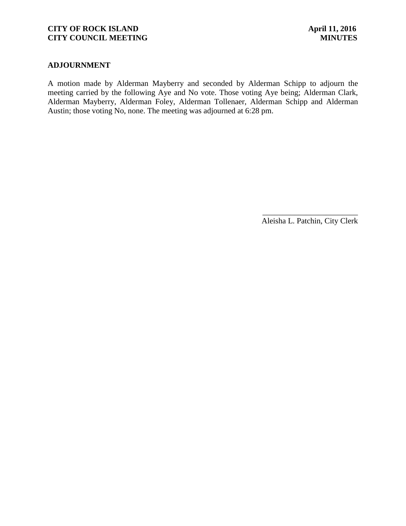### **ADJOURNMENT**

A motion made by Alderman Mayberry and seconded by Alderman Schipp to adjourn the meeting carried by the following Aye and No vote. Those voting Aye being; Alderman Clark, Alderman Mayberry, Alderman Foley, Alderman Tollenaer, Alderman Schipp and Alderman Austin; those voting No, none. The meeting was adjourned at 6:28 pm.

> \_\_\_\_\_\_\_\_\_\_\_\_\_\_\_\_\_\_\_\_\_\_\_\_ Aleisha L. Patchin, City Clerk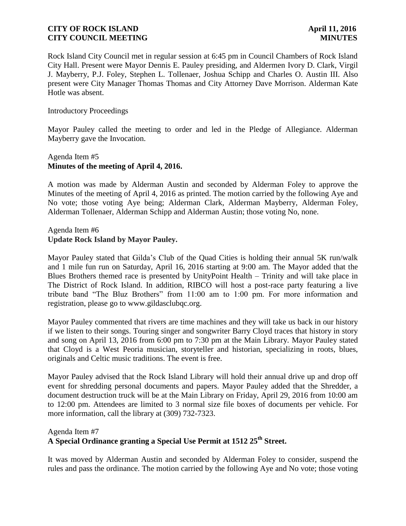Rock Island City Council met in regular session at 6:45 pm in Council Chambers of Rock Island City Hall. Present were Mayor Dennis E. Pauley presiding, and Aldermen Ivory D. Clark, Virgil J. Mayberry, P.J. Foley, Stephen L. Tollenaer, Joshua Schipp and Charles O. Austin III. Also present were City Manager Thomas Thomas and City Attorney Dave Morrison. Alderman Kate Hotle was absent.

### Introductory Proceedings

Mayor Pauley called the meeting to order and led in the Pledge of Allegiance. Alderman Mayberry gave the Invocation.

## Agenda Item #5 **Minutes of the meeting of April 4, 2016.**

A motion was made by Alderman Austin and seconded by Alderman Foley to approve the Minutes of the meeting of April 4, 2016 as printed. The motion carried by the following Aye and No vote; those voting Aye being; Alderman Clark, Alderman Mayberry, Alderman Foley, Alderman Tollenaer, Alderman Schipp and Alderman Austin; those voting No, none.

## Agenda Item #6 **Update Rock Island by Mayor Pauley.**

Mayor Pauley stated that Gilda's Club of the Quad Cities is holding their annual 5K run/walk and 1 mile fun run on Saturday, April 16, 2016 starting at 9:00 am. The Mayor added that the Blues Brothers themed race is presented by UnityPoint Health – Trinity and will take place in The District of Rock Island. In addition, RIBCO will host a post-race party featuring a live tribute band "The Bluz Brothers" from 11:00 am to 1:00 pm. For more information and registration, please go to www.gildasclubqc.org.

Mayor Pauley commented that rivers are time machines and they will take us back in our history if we listen to their songs. Touring singer and songwriter Barry Cloyd traces that history in story and song on April 13, 2016 from 6:00 pm to 7:30 pm at the Main Library. Mayor Pauley stated that Cloyd is a West Peoria musician, storyteller and historian, specializing in roots, blues, originals and Celtic music traditions. The event is free.

Mayor Pauley advised that the Rock Island Library will hold their annual drive up and drop off event for shredding personal documents and papers. Mayor Pauley added that the Shredder, a document destruction truck will be at the Main Library on Friday, April 29, 2016 from 10:00 am to 12:00 pm. Attendees are limited to 3 normal size file boxes of documents per vehicle. For more information, call the library at (309) 732-7323.

#### Agenda Item #7

# **A Special Ordinance granting a Special Use Permit at 1512 25th Street.**

It was moved by Alderman Austin and seconded by Alderman Foley to consider, suspend the rules and pass the ordinance. The motion carried by the following Aye and No vote; those voting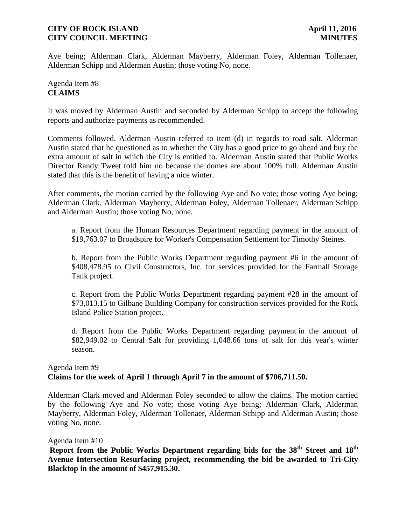Aye being; Alderman Clark, Alderman Mayberry, Alderman Foley, Alderman Tollenaer, Alderman Schipp and Alderman Austin; those voting No, none.

## Agenda Item #8 **CLAIMS**

It was moved by Alderman Austin and seconded by Alderman Schipp to accept the following reports and authorize payments as recommended.

Comments followed. Alderman Austin referred to item (d) in regards to road salt. Alderman Austin stated that he questioned as to whether the City has a good price to go ahead and buy the extra amount of salt in which the City is entitled to. Alderman Austin stated that Public Works Director Randy Tweet told him no because the domes are about 100% full. Alderman Austin stated that this is the benefit of having a nice winter.

After comments, the motion carried by the following Aye and No vote; those voting Aye being; Alderman Clark, Alderman Mayberry, Alderman Foley, Alderman Tollenaer, Alderman Schipp and Alderman Austin; those voting No, none.

a. Report from the Human Resources Department regarding payment in the amount of \$19,763.07 to Broadspire for Worker's Compensation Settlement for Timothy Steines.

b. Report from the Public Works Department regarding payment #6 in the amount of \$408,478.95 to Civil Constructors, Inc. for services provided for the Farmall Storage Tank project.

c. Report from the Public Works Department regarding payment #28 in the amount of \$73,013.15 to Gilbane Building Company for construction services provided for the Rock Island Police Station project.

d. Report from the Public Works Department regarding payment in the amount of \$82,949.02 to Central Salt for providing 1,048.66 tons of salt for this year's winter season.

## Agenda Item #9 **Claims for the week of April 1 through April 7 in the amount of \$706,711.50.**

Alderman Clark moved and Alderman Foley seconded to allow the claims. The motion carried by the following Aye and No vote; those voting Aye being; Alderman Clark, Alderman Mayberry, Alderman Foley, Alderman Tollenaer, Alderman Schipp and Alderman Austin; those voting No, none.

## Agenda Item #10

**Report from the Public Works Department regarding bids for the 38th Street and 18th Avenue Intersection Resurfacing project, recommending the bid be awarded to Tri-City Blacktop in the amount of \$457,915.30.**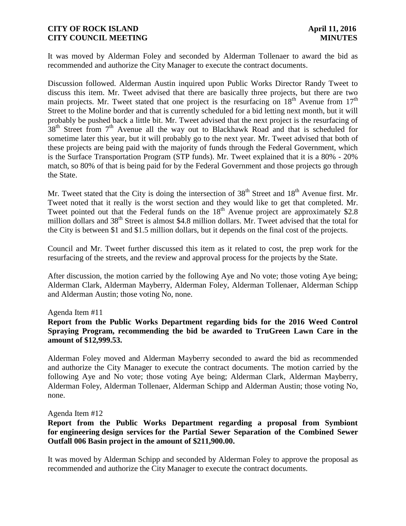It was moved by Alderman Foley and seconded by Alderman Tollenaer to award the bid as recommended and authorize the City Manager to execute the contract documents.

Discussion followed. Alderman Austin inquired upon Public Works Director Randy Tweet to discuss this item. Mr. Tweet advised that there are basically three projects, but there are two main projects. Mr. Tweet stated that one project is the resurfacing on  $18<sup>th</sup>$  Avenue from  $17<sup>th</sup>$ Street to the Moline border and that is currently scheduled for a bid letting next month, but it will probably be pushed back a little bit. Mr. Tweet advised that the next project is the resurfacing of 38<sup>th</sup> Street from 7<sup>th</sup> Avenue all the way out to Blackhawk Road and that is scheduled for sometime later this year, but it will probably go to the next year. Mr. Tweet advised that both of these projects are being paid with the majority of funds through the Federal Government, which is the Surface Transportation Program (STP funds). Mr. Tweet explained that it is a 80% - 20% match, so 80% of that is being paid for by the Federal Government and those projects go through the State.

Mr. Tweet stated that the City is doing the intersection of  $38<sup>th</sup>$  Street and  $18<sup>th</sup>$  Avenue first. Mr. Tweet noted that it really is the worst section and they would like to get that completed. Mr. Tweet pointed out that the Federal funds on the  $18<sup>th</sup>$  Avenue project are approximately \$2.8 million dollars and 38<sup>th</sup> Street is almost \$4.8 million dollars. Mr. Tweet advised that the total for the City is between \$1 and \$1.5 million dollars, but it depends on the final cost of the projects.

Council and Mr. Tweet further discussed this item as it related to cost, the prep work for the resurfacing of the streets, and the review and approval process for the projects by the State.

After discussion, the motion carried by the following Aye and No vote; those voting Aye being; Alderman Clark, Alderman Mayberry, Alderman Foley, Alderman Tollenaer, Alderman Schipp and Alderman Austin; those voting No, none.

#### Agenda Item #11

## **Report from the Public Works Department regarding bids for the 2016 Weed Control Spraying Program, recommending the bid be awarded to TruGreen Lawn Care in the amount of \$12,999.53.**

Alderman Foley moved and Alderman Mayberry seconded to award the bid as recommended and authorize the City Manager to execute the contract documents. The motion carried by the following Aye and No vote; those voting Aye being; Alderman Clark, Alderman Mayberry, Alderman Foley, Alderman Tollenaer, Alderman Schipp and Alderman Austin; those voting No, none.

#### Agenda Item #12

## **Report from the Public Works Department regarding a proposal from Symbiont for engineering design services for the Partial Sewer Separation of the Combined Sewer Outfall 006 Basin project in the amount of \$211,900.00.**

It was moved by Alderman Schipp and seconded by Alderman Foley to approve the proposal as recommended and authorize the City Manager to execute the contract documents.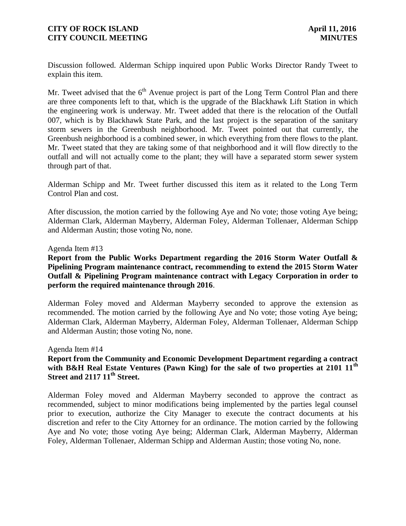Discussion followed. Alderman Schipp inquired upon Public Works Director Randy Tweet to explain this item.

Mr. Tweet advised that the  $6<sup>th</sup>$  Avenue project is part of the Long Term Control Plan and there are three components left to that, which is the upgrade of the Blackhawk Lift Station in which the engineering work is underway. Mr. Tweet added that there is the relocation of the Outfall 007, which is by Blackhawk State Park, and the last project is the separation of the sanitary storm sewers in the Greenbush neighborhood. Mr. Tweet pointed out that currently, the Greenbush neighborhood is a combined sewer, in which everything from there flows to the plant. Mr. Tweet stated that they are taking some of that neighborhood and it will flow directly to the outfall and will not actually come to the plant; they will have a separated storm sewer system through part of that.

Alderman Schipp and Mr. Tweet further discussed this item as it related to the Long Term Control Plan and cost.

After discussion, the motion carried by the following Aye and No vote; those voting Aye being; Alderman Clark, Alderman Mayberry, Alderman Foley, Alderman Tollenaer, Alderman Schipp and Alderman Austin; those voting No, none.

#### Agenda Item #13

## **Report from the Public Works Department regarding the 2016 Storm Water Outfall & Pipelining Program maintenance contract, recommending to extend the 2015 Storm Water Outfall & Pipelining Program maintenance contract with Legacy Corporation in order to perform the required maintenance through 2016**.

Alderman Foley moved and Alderman Mayberry seconded to approve the extension as recommended. The motion carried by the following Aye and No vote; those voting Aye being; Alderman Clark, Alderman Mayberry, Alderman Foley, Alderman Tollenaer, Alderman Schipp and Alderman Austin; those voting No, none.

#### Agenda Item #14

## **Report from the Community and Economic Development Department regarding a contract with B&H Real Estate Ventures (Pawn King) for the sale of two properties at 2101 11th Street and 2117 11th Street.**

Alderman Foley moved and Alderman Mayberry seconded to approve the contract as recommended, subject to minor modifications being implemented by the parties legal counsel prior to execution, authorize the City Manager to execute the contract documents at his discretion and refer to the City Attorney for an ordinance. The motion carried by the following Aye and No vote; those voting Aye being; Alderman Clark, Alderman Mayberry, Alderman Foley, Alderman Tollenaer, Alderman Schipp and Alderman Austin; those voting No, none.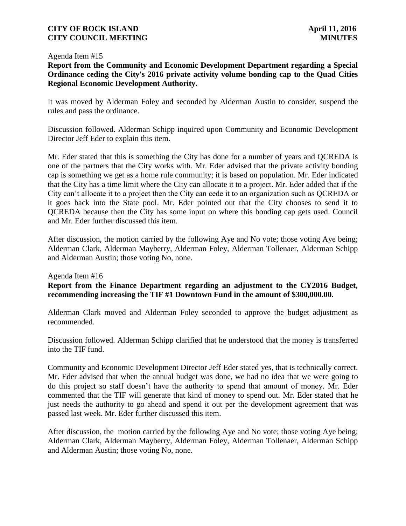#### Agenda Item #15

**Report from the Community and Economic Development Department regarding a Special Ordinance ceding the City's 2016 private activity volume bonding cap to the Quad Cities Regional Economic Development Authority.**

It was moved by Alderman Foley and seconded by Alderman Austin to consider, suspend the rules and pass the ordinance.

Discussion followed. Alderman Schipp inquired upon Community and Economic Development Director Jeff Eder to explain this item.

Mr. Eder stated that this is something the City has done for a number of years and QCREDA is one of the partners that the City works with. Mr. Eder advised that the private activity bonding cap is something we get as a home rule community; it is based on population. Mr. Eder indicated that the City has a time limit where the City can allocate it to a project. Mr. Eder added that if the City can't allocate it to a project then the City can cede it to an organization such as QCREDA or it goes back into the State pool. Mr. Eder pointed out that the City chooses to send it to QCREDA because then the City has some input on where this bonding cap gets used. Council and Mr. Eder further discussed this item.

After discussion, the motion carried by the following Aye and No vote; those voting Aye being; Alderman Clark, Alderman Mayberry, Alderman Foley, Alderman Tollenaer, Alderman Schipp and Alderman Austin; those voting No, none.

#### Agenda Item #16

**Report from the Finance Department regarding an adjustment to the CY2016 Budget, recommending increasing the TIF #1 Downtown Fund in the amount of \$300,000.00.** 

Alderman Clark moved and Alderman Foley seconded to approve the budget adjustment as recommended.

Discussion followed. Alderman Schipp clarified that he understood that the money is transferred into the TIF fund.

Community and Economic Development Director Jeff Eder stated yes, that is technically correct. Mr. Eder advised that when the annual budget was done, we had no idea that we were going to do this project so staff doesn't have the authority to spend that amount of money. Mr. Eder commented that the TIF will generate that kind of money to spend out. Mr. Eder stated that he just needs the authority to go ahead and spend it out per the development agreement that was passed last week. Mr. Eder further discussed this item.

After discussion, the motion carried by the following Aye and No vote; those voting Aye being; Alderman Clark, Alderman Mayberry, Alderman Foley, Alderman Tollenaer, Alderman Schipp and Alderman Austin; those voting No, none.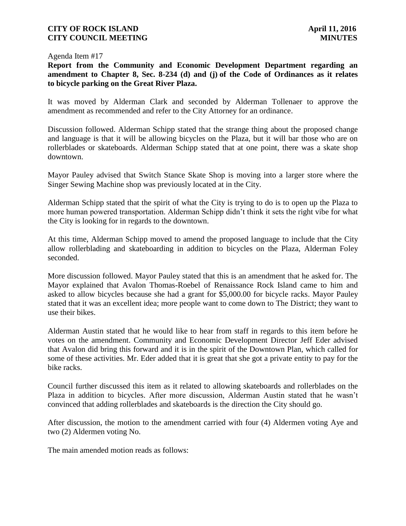#### Agenda Item #17

**Report from the Community and Economic Development Department regarding an amendment to Chapter 8, Sec. 8-234 (d) and (j) of the Code of Ordinances as it relates to bicycle parking on the Great River Plaza.**

It was moved by Alderman Clark and seconded by Alderman Tollenaer to approve the amendment as recommended and refer to the City Attorney for an ordinance.

Discussion followed. Alderman Schipp stated that the strange thing about the proposed change and language is that it will be allowing bicycles on the Plaza, but it will bar those who are on rollerblades or skateboards. Alderman Schipp stated that at one point, there was a skate shop downtown.

Mayor Pauley advised that Switch Stance Skate Shop is moving into a larger store where the Singer Sewing Machine shop was previously located at in the City.

Alderman Schipp stated that the spirit of what the City is trying to do is to open up the Plaza to more human powered transportation. Alderman Schipp didn't think it sets the right vibe for what the City is looking for in regards to the downtown.

At this time, Alderman Schipp moved to amend the proposed language to include that the City allow rollerblading and skateboarding in addition to bicycles on the Plaza, Alderman Foley seconded.

More discussion followed. Mayor Pauley stated that this is an amendment that he asked for. The Mayor explained that Avalon Thomas-Roebel of Renaissance Rock Island came to him and asked to allow bicycles because she had a grant for \$5,000.00 for bicycle racks. Mayor Pauley stated that it was an excellent idea; more people want to come down to The District; they want to use their bikes.

Alderman Austin stated that he would like to hear from staff in regards to this item before he votes on the amendment. Community and Economic Development Director Jeff Eder advised that Avalon did bring this forward and it is in the spirit of the Downtown Plan, which called for some of these activities. Mr. Eder added that it is great that she got a private entity to pay for the bike racks.

Council further discussed this item as it related to allowing skateboards and rollerblades on the Plaza in addition to bicycles. After more discussion, Alderman Austin stated that he wasn't convinced that adding rollerblades and skateboards is the direction the City should go.

After discussion, the motion to the amendment carried with four (4) Aldermen voting Aye and two (2) Aldermen voting No.

The main amended motion reads as follows: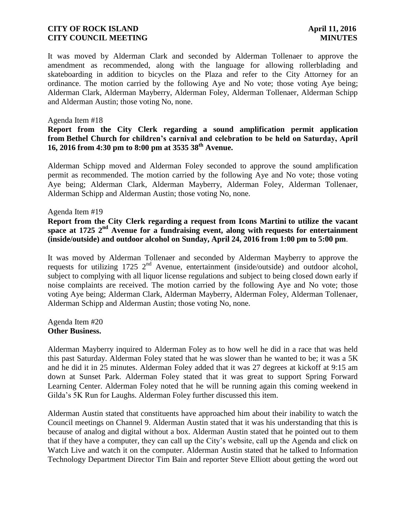It was moved by Alderman Clark and seconded by Alderman Tollenaer to approve the amendment as recommended, along with the language for allowing rollerblading and skateboarding in addition to bicycles on the Plaza and refer to the City Attorney for an ordinance. The motion carried by the following Aye and No vote; those voting Aye being; Alderman Clark, Alderman Mayberry, Alderman Foley, Alderman Tollenaer, Alderman Schipp and Alderman Austin; those voting No, none.

#### Agenda Item #18

## **Report from the City Clerk regarding a sound amplification permit application from Bethel Church for children's carnival and celebration to be held on Saturday, April 16, 2016 from 4:30 pm to 8:00 pm at 3535 38th Avenue.**

Alderman Schipp moved and Alderman Foley seconded to approve the sound amplification permit as recommended. The motion carried by the following Aye and No vote; those voting Aye being; Alderman Clark, Alderman Mayberry, Alderman Foley, Alderman Tollenaer, Alderman Schipp and Alderman Austin; those voting No, none.

#### Agenda Item #19

**Report from the City Clerk regarding a request from Icons Martini to utilize the vacant space at 1725 2nd Avenue for a fundraising event, along with requests for entertainment (inside/outside) and outdoor alcohol on Sunday, April 24, 2016 from 1:00 pm to 5:00 pm**.

It was moved by Alderman Tollenaer and seconded by Alderman Mayberry to approve the requests for utilizing 1725  $2<sup>nd</sup>$  Avenue, entertainment (inside/outside) and outdoor alcohol, subject to complying with all liquor license regulations and subject to being closed down early if noise complaints are received. The motion carried by the following Aye and No vote; those voting Aye being; Alderman Clark, Alderman Mayberry, Alderman Foley, Alderman Tollenaer, Alderman Schipp and Alderman Austin; those voting No, none.

Agenda Item #20 **Other Business.**

Alderman Mayberry inquired to Alderman Foley as to how well he did in a race that was held this past Saturday. Alderman Foley stated that he was slower than he wanted to be; it was a 5K and he did it in 25 minutes. Alderman Foley added that it was 27 degrees at kickoff at 9:15 am down at Sunset Park. Alderman Foley stated that it was great to support Spring Forward Learning Center. Alderman Foley noted that he will be running again this coming weekend in Gilda's 5K Run for Laughs. Alderman Foley further discussed this item.

Alderman Austin stated that constituents have approached him about their inability to watch the Council meetings on Channel 9. Alderman Austin stated that it was his understanding that this is because of analog and digital without a box. Alderman Austin stated that he pointed out to them that if they have a computer, they can call up the City's website, call up the Agenda and click on Watch Live and watch it on the computer. Alderman Austin stated that he talked to Information Technology Department Director Tim Bain and reporter Steve Elliott about getting the word out